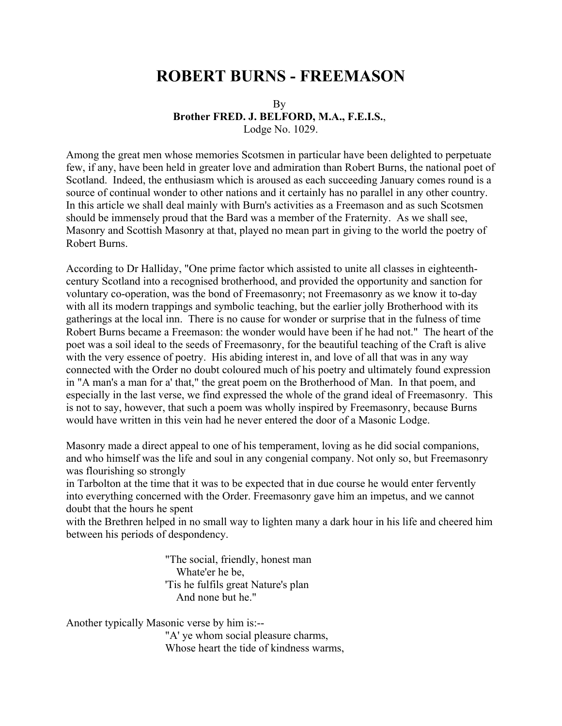## **ROBERT BURNS - FREEMASON**

## By **Brother FRED. J. BELFORD, M.A., F.E.I.S.**, Lodge No. 1029.

Among the great men whose memories Scotsmen in particular have been delighted to perpetuate few, if any, have been held in greater love and admiration than Robert Burns, the national poet of Scotland. Indeed, the enthusiasm which is aroused as each succeeding January comes round is a source of continual wonder to other nations and it certainly has no parallel in any other country. In this article we shall deal mainly with Burn's activities as a Freemason and as such Scotsmen should be immensely proud that the Bard was a member of the Fraternity. As we shall see, Masonry and Scottish Masonry at that, played no mean part in giving to the world the poetry of Robert Burns.

According to Dr Halliday, "One prime factor which assisted to unite all classes in eighteenthcentury Scotland into a recognised brotherhood, and provided the opportunity and sanction for voluntary co-operation, was the bond of Freemasonry; not Freemasonry as we know it to-day with all its modern trappings and symbolic teaching, but the earlier jolly Brotherhood with its gatherings at the local inn. There is no cause for wonder or surprise that in the fulness of time Robert Burns became a Freemason: the wonder would have been if he had not." The heart of the poet was a soil ideal to the seeds of Freemasonry, for the beautiful teaching of the Craft is alive with the very essence of poetry. His abiding interest in, and love of all that was in any way connected with the Order no doubt coloured much of his poetry and ultimately found expression in "A man's a man for a' that," the great poem on the Brotherhood of Man. In that poem, and especially in the last verse, we find expressed the whole of the grand ideal of Freemasonry. This is not to say, however, that such a poem was wholly inspired by Freemasonry, because Burns would have written in this vein had he never entered the door of a Masonic Lodge.

Masonry made a direct appeal to one of his temperament, loving as he did social companions, and who himself was the life and soul in any congenial company. Not only so, but Freemasonry was flourishing so strongly

in Tarbolton at the time that it was to be expected that in due course he would enter fervently into everything concerned with the Order. Freemasonry gave him an impetus, and we cannot doubt that the hours he spent

with the Brethren helped in no small way to lighten many a dark hour in his life and cheered him between his periods of despondency.

> "The social, friendly, honest man Whate'er he be, 'Tis he fulfils great Nature's plan And none but he."

Another typically Masonic verse by him is:-- "A' ye whom social pleasure charms, Whose heart the tide of kindness warms,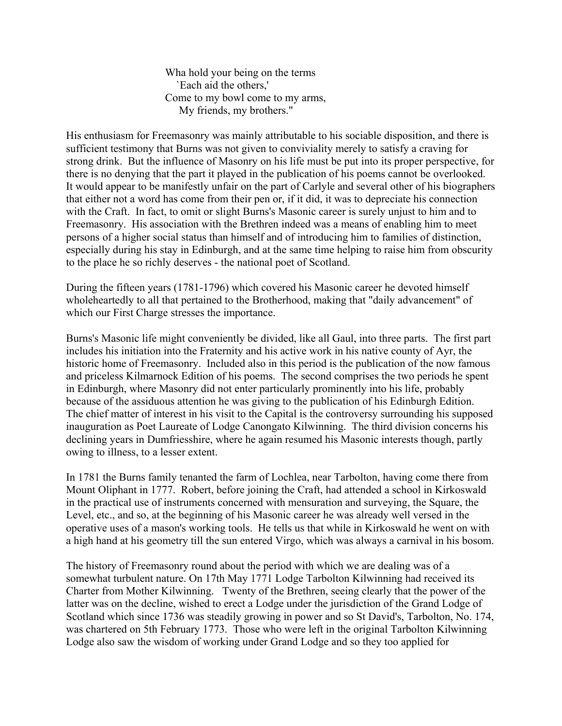Wha hold your being on the terms `Each aid the others,' Come to my bowl come to my arms, My friends, my brothers."

His enthusiasm for Freemasonry was mainly attributable to his sociable disposition, and there is sufficient testimony that Burns was not given to conviviality merely to satisfy a craving for strong drink. But the influence of Masonry on his life must be put into its proper perspective, for there is no denying that the part it played in the publication of his poems cannot be overlooked. It would appear to be manifestly unfair on the part of Carlyle and several other of his biographers that either not a word has come from their pen or, if it did, it was to depreciate his connection with the Craft. In fact, to omit or slight Burns's Masonic career is surely unjust to him and to Freemasonry. His association with the Brethren indeed was a means of enabling him to meet persons of a higher social status than himself and of introducing him to families of distinction, especially during his stay in Edinburgh, and at the same time helping to raise him from obscurity to the place he so richly deserves - the national poet of Scotland.

During the fifteen years (1781-1796) which covered his Masonic career he devoted himself wholeheartedly to all that pertained to the Brotherhood, making that "daily advancement" of which our First Charge stresses the importance.

Burns's Masonic life might conveniently be divided, like all Gaul, into three parts. The first part includes his initiation into the Fraternity and his active work in his native county of Ayr, the historic home of Freemasonry. Included also in this period is the publication of the now famous and priceless Kilmarnock Edition of his poems. The second comprises the two periods he spent in Edinburgh, where Masonry did not enter particularly prominently into his life, probably because of the assiduous attention he was giving to the publication of his Edinburgh Edition. The chief matter of interest in his visit to the Capital is the controversy surrounding his supposed inauguration as Poet Laureate of Lodge Canongato Kilwinning. The third division concerns his declining years in Dumfriesshire, where he again resumed his Masonic interests though, partly owing to illness, to a lesser extent.

In 1781 the Burns family tenanted the farm of Lochlea, near Tarbolton, having come there from Mount Oliphant in 1777. Robert, before joining the Craft, had attended a school in Kirkoswald in the practical use of instruments concerned with mensuration and surveying, the Square, the Level, etc., and so, at the beginning of his Masonic career he was already well versed in the operative uses of a mason's working tools. He tells us that while in Kirkoswald he went on with a high hand at his geometry till the sun entered Virgo, which was always a carnival in his bosom.

The history of Freemasonry round about the period with which we are dealing was of a somewhat turbulent nature. On 17th May 1771 Lodge Tarbolton Kilwinning had received its Charter from Mother Kilwinning. Twenty of the Brethren, seeing clearly that the power of the latter was on the decline, wished to erect a Lodge under the jurisdiction of the Grand Lodge of Scotland which since 1736 was steadily growing in power and so St David's, Tarbolton, No. 174, was chartered on 5th February 1773. Those who were left in the original Tarbolton Kilwinning Lodge also saw the wisdom of working under Grand Lodge and so they too applied for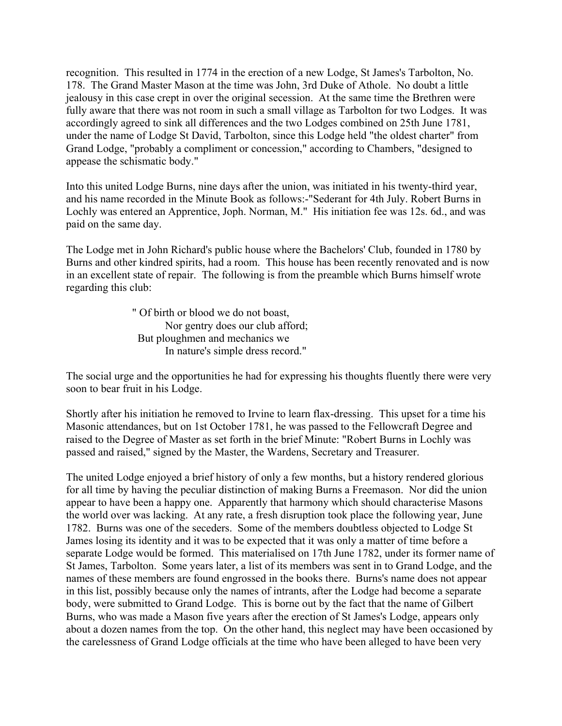recognition. This resulted in 1774 in the erection of a new Lodge, St James's Tarbolton, No. 178. The Grand Master Mason at the time was John, 3rd Duke of Athole. No doubt a little jealousy in this case crept in over the original secession. At the same time the Brethren were fully aware that there was not room in such a small village as Tarbolton for two Lodges. It was accordingly agreed to sink all differences and the two Lodges combined on 25th June 1781, under the name of Lodge St David, Tarbolton, since this Lodge held "the oldest charter" from Grand Lodge, "probably a compliment or concession," according to Chambers, "designed to appease the schismatic body."

Into this united Lodge Burns, nine days after the union, was initiated in his twenty-third year, and his name recorded in the Minute Book as follows:-"Sederant for 4th July. Robert Burns in Lochly was entered an Apprentice, Joph. Norman, M." His initiation fee was 12s. 6d., and was paid on the same day.

The Lodge met in John Richard's public house where the Bachelors' Club, founded in 1780 by Burns and other kindred spirits, had a room. This house has been recently renovated and is now in an excellent state of repair. The following is from the preamble which Burns himself wrote regarding this club:

> " Of birth or blood we do not boast, Nor gentry does our club afford; But ploughmen and mechanics we In nature's simple dress record."

The social urge and the opportunities he had for expressing his thoughts fluently there were very soon to bear fruit in his Lodge.

Shortly after his initiation he removed to Irvine to learn flax-dressing. This upset for a time his Masonic attendances, but on 1st October 1781, he was passed to the Fellowcraft Degree and raised to the Degree of Master as set forth in the brief Minute: "Robert Burns in Lochly was passed and raised," signed by the Master, the Wardens, Secretary and Treasurer.

The united Lodge enjoyed a brief history of only a few months, but a history rendered glorious for all time by having the peculiar distinction of making Burns a Freemason. Nor did the union appear to have been a happy one. Apparently that harmony which should characterise Masons the world over was lacking. At any rate, a fresh disruption took place the following year, June 1782. Burns was one of the seceders. Some of the members doubtless objected to Lodge St James losing its identity and it was to be expected that it was only a matter of time before a separate Lodge would be formed. This materialised on 17th June 1782, under its former name of St James, Tarbolton. Some years later, a list of its members was sent in to Grand Lodge, and the names of these members are found engrossed in the books there. Burns's name does not appear in this list, possibly because only the names of intrants, after the Lodge had become a separate body, were submitted to Grand Lodge. This is borne out by the fact that the name of Gilbert Burns, who was made a Mason five years after the erection of St James's Lodge, appears only about a dozen names from the top. On the other hand, this neglect may have been occasioned by the carelessness of Grand Lodge officials at the time who have been alleged to have been very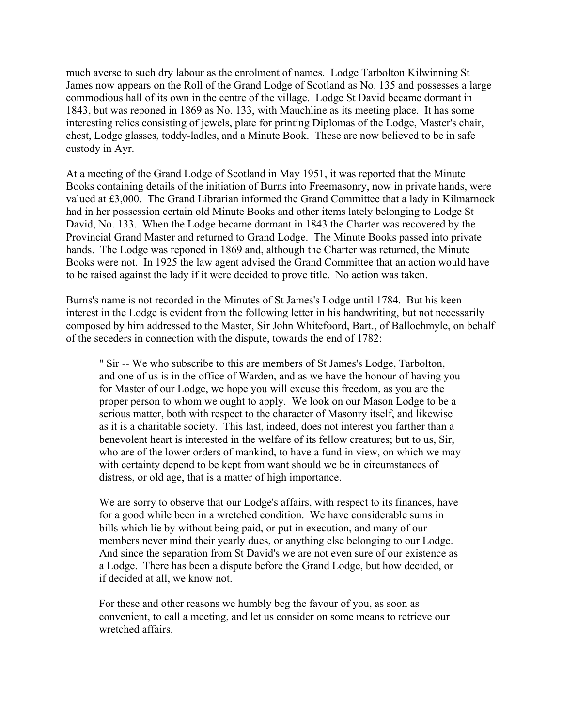much averse to such dry labour as the enrolment of names. Lodge Tarbolton Kilwinning St James now appears on the Roll of the Grand Lodge of Scotland as No. 135 and possesses a large commodious hall of its own in the centre of the village. Lodge St David became dormant in 1843, but was reponed in 1869 as No. 133, with Mauchline as its meeting place. It has some interesting relics consisting of jewels, plate for printing Diplomas of the Lodge, Master's chair, chest, Lodge glasses, toddy-ladles, and a Minute Book. These are now believed to be in safe custody in Ayr.

At a meeting of the Grand Lodge of Scotland in May 1951, it was reported that the Minute Books containing details of the initiation of Burns into Freemasonry, now in private hands, were valued at £3,000. The Grand Librarian informed the Grand Committee that a lady in Kilmarnock had in her possession certain old Minute Books and other items lately belonging to Lodge St David, No. 133. When the Lodge became dormant in 1843 the Charter was recovered by the Provincial Grand Master and returned to Grand Lodge. The Minute Books passed into private hands. The Lodge was reponed in 1869 and, although the Charter was returned, the Minute Books were not. In 1925 the law agent advised the Grand Committee that an action would have to be raised against the lady if it were decided to prove title. No action was taken.

Burns's name is not recorded in the Minutes of St James's Lodge until 1784. But his keen interest in the Lodge is evident from the following letter in his handwriting, but not necessarily composed by him addressed to the Master, Sir John Whitefoord, Bart., of Ballochmyle, on behalf of the seceders in connection with the dispute, towards the end of 1782:

" Sir -- We who subscribe to this are members of St James's Lodge, Tarbolton, and one of us is in the office of Warden, and as we have the honour of having you for Master of our Lodge, we hope you will excuse this freedom, as you are the proper person to whom we ought to apply. We look on our Mason Lodge to be a serious matter, both with respect to the character of Masonry itself, and likewise as it is a charitable society. This last, indeed, does not interest you farther than a benevolent heart is interested in the welfare of its fellow creatures; but to us, Sir, who are of the lower orders of mankind, to have a fund in view, on which we may with certainty depend to be kept from want should we be in circumstances of distress, or old age, that is a matter of high importance.

We are sorry to observe that our Lodge's affairs, with respect to its finances, have for a good while been in a wretched condition. We have considerable sums in bills which lie by without being paid, or put in execution, and many of our members never mind their yearly dues, or anything else belonging to our Lodge. And since the separation from St David's we are not even sure of our existence as a Lodge. There has been a dispute before the Grand Lodge, but how decided, or if decided at all, we know not.

For these and other reasons we humbly beg the favour of you, as soon as convenient, to call a meeting, and let us consider on some means to retrieve our wretched affairs.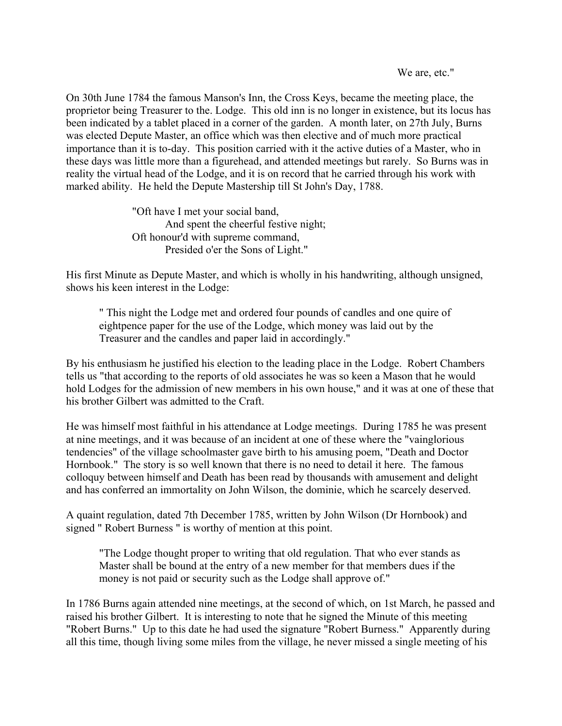We are, etc."

On 30th June 1784 the famous Manson's Inn, the Cross Keys, became the meeting place, the proprietor being Treasurer to the. Lodge. This old inn is no longer in existence, but its locus has been indicated by a tablet placed in a corner of the garden. A month later, on 27th July, Burns was elected Depute Master, an office which was then elective and of much more practical importance than it is to-day. This position carried with it the active duties of a Master, who in these days was little more than a figurehead, and attended meetings but rarely. So Burns was in reality the virtual head of the Lodge, and it is on record that he carried through his work with marked ability. He held the Depute Mastership till St John's Day, 1788.

> "Oft have I met your social band, And spent the cheerful festive night; Oft honour'd with supreme command, Presided o'er the Sons of Light."

His first Minute as Depute Master, and which is wholly in his handwriting, although unsigned, shows his keen interest in the Lodge:

" This night the Lodge met and ordered four pounds of candles and one quire of eightpence paper for the use of the Lodge, which money was laid out by the Treasurer and the candles and paper laid in accordingly."

By his enthusiasm he justified his election to the leading place in the Lodge. Robert Chambers tells us "that according to the reports of old associates he was so keen a Mason that he would hold Lodges for the admission of new members in his own house," and it was at one of these that his brother Gilbert was admitted to the Craft.

He was himself most faithful in his attendance at Lodge meetings. During 1785 he was present at nine meetings, and it was because of an incident at one of these where the "vainglorious tendencies" of the village schoolmaster gave birth to his amusing poem, "Death and Doctor Hornbook." The story is so well known that there is no need to detail it here. The famous colloquy between himself and Death has been read by thousands with amusement and delight and has conferred an immortality on John Wilson, the dominie, which he scarcely deserved.

A quaint regulation, dated 7th December 1785, written by John Wilson (Dr Hornbook) and signed " Robert Burness " is worthy of mention at this point.

"The Lodge thought proper to writing that old regulation. That who ever stands as Master shall be bound at the entry of a new member for that members dues if the money is not paid or security such as the Lodge shall approve of."

In 1786 Burns again attended nine meetings, at the second of which, on 1st March, he passed and raised his brother Gilbert. It is interesting to note that he signed the Minute of this meeting "Robert Burns." Up to this date he had used the signature "Robert Burness." Apparently during all this time, though living some miles from the village, he never missed a single meeting of his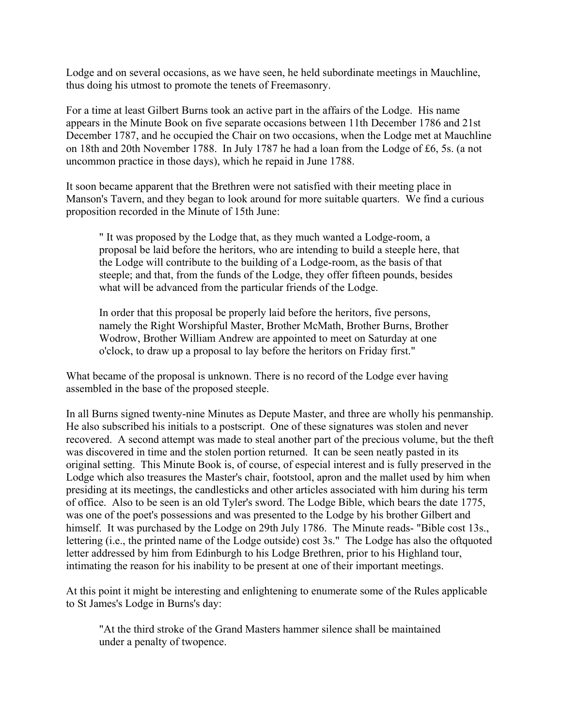Lodge and on several occasions, as we have seen, he held subordinate meetings in Mauchline, thus doing his utmost to promote the tenets of Freemasonry.

For a time at least Gilbert Burns took an active part in the affairs of the Lodge. His name appears in the Minute Book on five separate occasions between 11th December 1786 and 21st December 1787, and he occupied the Chair on two occasions, when the Lodge met at Mauchline on 18th and 20th November 1788. In July 1787 he had a loan from the Lodge of £6, 5s. (a not uncommon practice in those days), which he repaid in June 1788.

It soon became apparent that the Brethren were not satisfied with their meeting place in Manson's Tavern, and they began to look around for more suitable quarters. We find a curious proposition recorded in the Minute of 15th June:

" It was proposed by the Lodge that, as they much wanted a Lodge-room, a proposal be laid before the heritors, who are intending to build a steeple here, that the Lodge will contribute to the building of a Lodge-room, as the basis of that steeple; and that, from the funds of the Lodge, they offer fifteen pounds, besides what will be advanced from the particular friends of the Lodge.

In order that this proposal be properly laid before the heritors, five persons, namely the Right Worshipful Master, Brother McMath, Brother Burns, Brother Wodrow, Brother William Andrew are appointed to meet on Saturday at one o'clock, to draw up a proposal to lay before the heritors on Friday first."

What became of the proposal is unknown. There is no record of the Lodge ever having assembled in the base of the proposed steeple.

In all Burns signed twenty-nine Minutes as Depute Master, and three are wholly his penmanship. He also subscribed his initials to a postscript. One of these signatures was stolen and never recovered. A second attempt was made to steal another part of the precious volume, but the theft was discovered in time and the stolen portion returned. It can be seen neatly pasted in its original setting. This Minute Book is, of course, of especial interest and is fully preserved in the Lodge which also treasures the Master's chair, footstool, apron and the mallet used by him when presiding at its meetings, the candlesticks and other articles associated with him during his term of office. Also to be seen is an old Tyler's sword. The Lodge Bible, which bears the date 1775, was one of the poet's possessions and was presented to the Lodge by his brother Gilbert and himself. It was purchased by the Lodge on 29th July 1786. The Minute reads- "Bible cost 13s., lettering (i.e., the printed name of the Lodge outside) cost 3s." The Lodge has also the oftquoted letter addressed by him from Edinburgh to his Lodge Brethren, prior to his Highland tour, intimating the reason for his inability to be present at one of their important meetings.

At this point it might be interesting and enlightening to enumerate some of the Rules applicable to St James's Lodge in Burns's day:

"At the third stroke of the Grand Masters hammer silence shall be maintained under a penalty of twopence.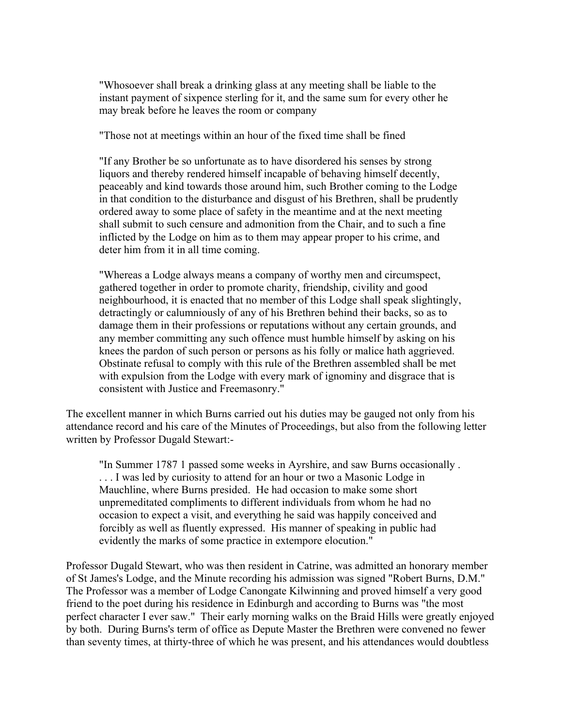"Whosoever shall break a drinking glass at any meeting shall be liable to the instant payment of sixpence sterling for it, and the same sum for every other he may break before he leaves the room or company

"Those not at meetings within an hour of the fixed time shall be fined

"If any Brother be so unfortunate as to have disordered his senses by strong liquors and thereby rendered himself incapable of behaving himself decently, peaceably and kind towards those around him, such Brother coming to the Lodge in that condition to the disturbance and disgust of his Brethren, shall be prudently ordered away to some place of safety in the meantime and at the next meeting shall submit to such censure and admonition from the Chair, and to such a fine inflicted by the Lodge on him as to them may appear proper to his crime, and deter him from it in all time coming.

"Whereas a Lodge always means a company of worthy men and circumspect, gathered together in order to promote charity, friendship, civility and good neighbourhood, it is enacted that no member of this Lodge shall speak slightingly, detractingly or calumniously of any of his Brethren behind their backs, so as to damage them in their professions or reputations without any certain grounds, and any member committing any such offence must humble himself by asking on his knees the pardon of such person or persons as his folly or malice hath aggrieved. Obstinate refusal to comply with this rule of the Brethren assembled shall be met with expulsion from the Lodge with every mark of ignominy and disgrace that is consistent with Justice and Freemasonry."

The excellent manner in which Burns carried out his duties may be gauged not only from his attendance record and his care of the Minutes of Proceedings, but also from the following letter written by Professor Dugald Stewart:-

"In Summer 1787 1 passed some weeks in Ayrshire, and saw Burns occasionally . ... I was led by curiosity to attend for an hour or two a Masonic Lodge in Mauchline, where Burns presided. He had occasion to make some short unpremeditated compliments to different individuals from whom he had no occasion to expect a visit, and everything he said was happily conceived and forcibly as well as fluently expressed. His manner of speaking in public had evidently the marks of some practice in extempore elocution."

Professor Dugald Stewart, who was then resident in Catrine, was admitted an honorary member of St James's Lodge, and the Minute recording his admission was signed "Robert Burns, D.M." The Professor was a member of Lodge Canongate Kilwinning and proved himself a very good friend to the poet during his residence in Edinburgh and according to Burns was "the most perfect character I ever saw." Their early morning walks on the Braid Hills were greatly enjoyed by both. During Burns's term of office as Depute Master the Brethren were convened no fewer than seventy times, at thirty-three of which he was present, and his attendances would doubtless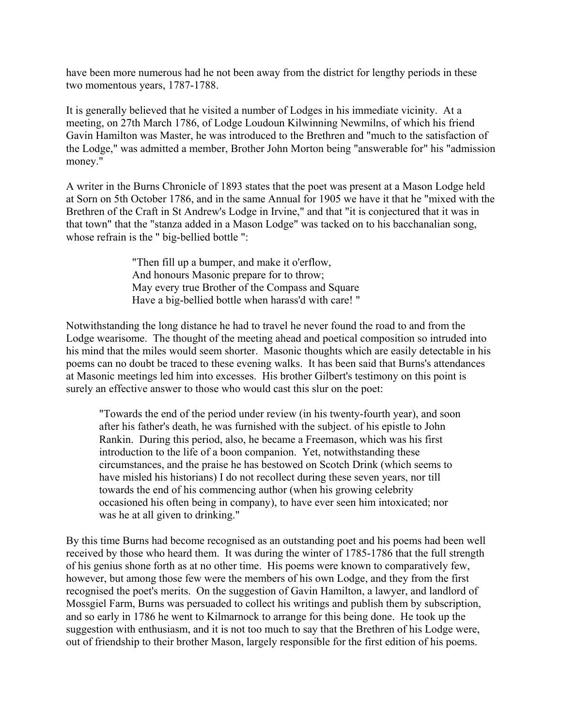have been more numerous had he not been away from the district for lengthy periods in these two momentous years, 1787-1788.

It is generally believed that he visited a number of Lodges in his immediate vicinity. At a meeting, on 27th March 1786, of Lodge Loudoun Kilwinning Newmilns, of which his friend Gavin Hamilton was Master, he was introduced to the Brethren and "much to the satisfaction of the Lodge," was admitted a member, Brother John Morton being "answerable for" his "admission money."

A writer in the Burns Chronicle of 1893 states that the poet was present at a Mason Lodge held at Sorn on 5th October 1786, and in the same Annual for 1905 we have it that he "mixed with the Brethren of the Craft in St Andrew's Lodge in Irvine," and that "it is conjectured that it was in that town" that the "stanza added in a Mason Lodge" was tacked on to his bacchanalian song, whose refrain is the " big-bellied bottle ":

> "Then fill up a bumper, and make it o'erflow, And honours Masonic prepare for to throw; May every true Brother of the Compass and Square Have a big-bellied bottle when harass'd with care! "

Notwithstanding the long distance he had to travel he never found the road to and from the Lodge wearisome. The thought of the meeting ahead and poetical composition so intruded into his mind that the miles would seem shorter. Masonic thoughts which are easily detectable in his poems can no doubt be traced to these evening walks. It has been said that Burns's attendances at Masonic meetings led him into excesses. His brother Gilbert's testimony on this point is surely an effective answer to those who would cast this slur on the poet:

"Towards the end of the period under review (in his twenty-fourth year), and soon after his father's death, he was furnished with the subject. of his epistle to John Rankin. During this period, also, he became a Freemason, which was his first introduction to the life of a boon companion. Yet, notwithstanding these circumstances, and the praise he has bestowed on Scotch Drink (which seems to have misled his historians) I do not recollect during these seven years, nor till towards the end of his commencing author (when his growing celebrity occasioned his often being in company), to have ever seen him intoxicated; nor was he at all given to drinking."

By this time Burns had become recognised as an outstanding poet and his poems had been well received by those who heard them. It was during the winter of 1785-1786 that the full strength of his genius shone forth as at no other time. His poems were known to comparatively few, however, but among those few were the members of his own Lodge, and they from the first recognised the poet's merits. On the suggestion of Gavin Hamilton, a lawyer, and landlord of Mossgiel Farm, Burns was persuaded to collect his writings and publish them by subscription, and so early in 1786 he went to Kilmarnock to arrange for this being done. He took up the suggestion with enthusiasm, and it is not too much to say that the Brethren of his Lodge were, out of friendship to their brother Mason, largely responsible for the first edition of his poems.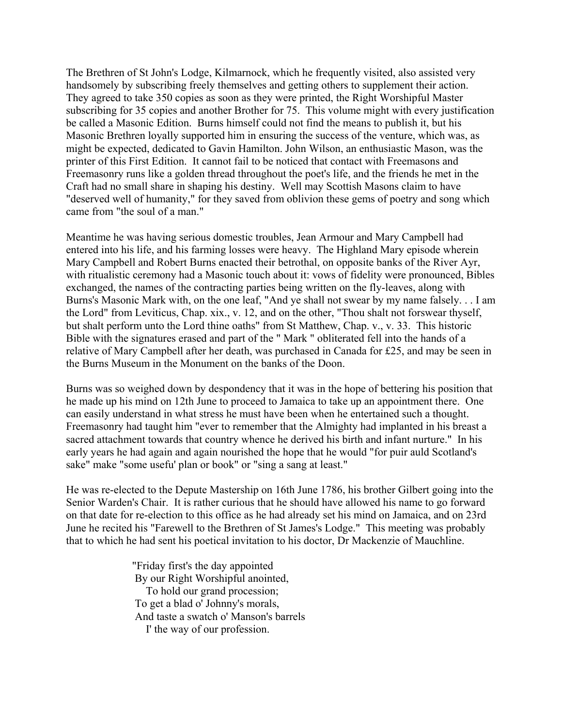The Brethren of St John's Lodge, Kilmarnock, which he frequently visited, also assisted very handsomely by subscribing freely themselves and getting others to supplement their action. They agreed to take 350 copies as soon as they were printed, the Right Worshipful Master subscribing for 35 copies and another Brother for 75. This volume might with every justification be called a Masonic Edition. Burns himself could not find the means to publish it, but his Masonic Brethren loyally supported him in ensuring the success of the venture, which was, as might be expected, dedicated to Gavin Hamilton. John Wilson, an enthusiastic Mason, was the printer of this First Edition. It cannot fail to be noticed that contact with Freemasons and Freemasonry runs like a golden thread throughout the poet's life, and the friends he met in the Craft had no small share in shaping his destiny. Well may Scottish Masons claim to have "deserved well of humanity," for they saved from oblivion these gems of poetry and song which came from "the soul of a man."

Meantime he was having serious domestic troubles, Jean Armour and Mary Campbell had entered into his life, and his farming losses were heavy. The Highland Mary episode wherein Mary Campbell and Robert Burns enacted their betrothal, on opposite banks of the River Ayr, with ritualistic ceremony had a Masonic touch about it: vows of fidelity were pronounced, Bibles exchanged, the names of the contracting parties being written on the fly-leaves, along with Burns's Masonic Mark with, on the one leaf, "And ye shall not swear by my name falsely. . . I am the Lord" from Leviticus, Chap. xix., v. 12, and on the other, "Thou shalt not forswear thyself, but shalt perform unto the Lord thine oaths" from St Matthew, Chap. v., v. 33. This historic Bible with the signatures erased and part of the " Mark " obliterated fell into the hands of a relative of Mary Campbell after her death, was purchased in Canada for £25, and may be seen in the Burns Museum in the Monument on the banks of the Doon.

Burns was so weighed down by despondency that it was in the hope of bettering his position that he made up his mind on 12th June to proceed to Jamaica to take up an appointment there. One can easily understand in what stress he must have been when he entertained such a thought. Freemasonry had taught him "ever to remember that the Almighty had implanted in his breast a sacred attachment towards that country whence he derived his birth and infant nurture." In his early years he had again and again nourished the hope that he would "for puir auld Scotland's sake" make "some usefu' plan or book" or "sing a sang at least."

He was re-elected to the Depute Mastership on 16th June 1786, his brother Gilbert going into the Senior Warden's Chair. It is rather curious that he should have allowed his name to go forward on that date for re-election to this office as he had already set his mind on Jamaica, and on 23rd June he recited his "Farewell to the Brethren of St James's Lodge." This meeting was probably that to which he had sent his poetical invitation to his doctor, Dr Mackenzie of Mauchline.

> "Friday first's the day appointed By our Right Worshipful anointed, To hold our grand procession; To get a blad o' Johnny's morals, And taste a swatch o' Manson's barrels I' the way of our profession.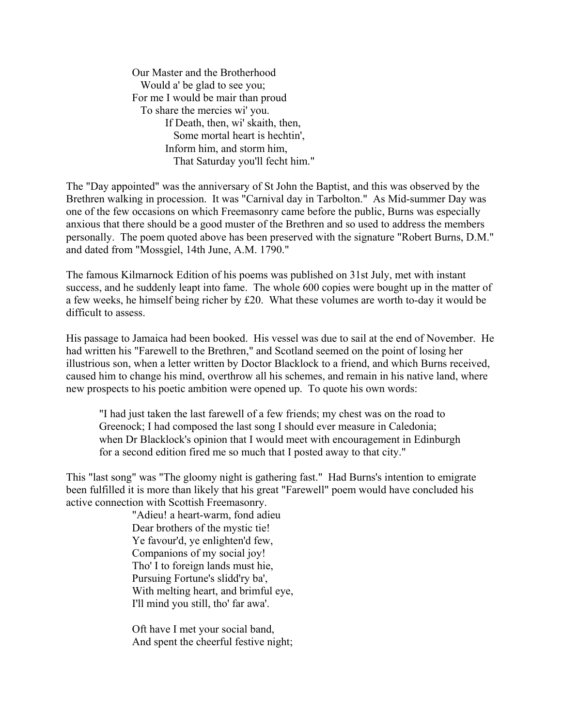Our Master and the Brotherhood Would a' be glad to see you; For me I would be mair than proud To share the mercies wi' you. If Death, then, wi' skaith, then, Some mortal heart is hechtin', Inform him, and storm him, That Saturday you'll fecht him."

The "Day appointed" was the anniversary of St John the Baptist, and this was observed by the Brethren walking in procession. It was "Carnival day in Tarbolton." As Mid-summer Day was one of the few occasions on which Freemasonry came before the public, Burns was especially anxious that there should be a good muster of the Brethren and so used to address the members personally. The poem quoted above has been preserved with the signature "Robert Burns, D.M." and dated from "Mossgiel, 14th June, A.M. 1790."

The famous Kilmarnock Edition of his poems was published on 31st July, met with instant success, and he suddenly leapt into fame. The whole 600 copies were bought up in the matter of a few weeks, he himself being richer by £20. What these volumes are worth to-day it would be difficult to assess.

His passage to Jamaica had been booked. His vessel was due to sail at the end of November. He had written his "Farewell to the Brethren," and Scotland seemed on the point of losing her illustrious son, when a letter written by Doctor Blacklock to a friend, and which Burns received, caused him to change his mind, overthrow all his schemes, and remain in his native land, where new prospects to his poetic ambition were opened up. To quote his own words:

"I had just taken the last farewell of a few friends; my chest was on the road to Greenock; I had composed the last song I should ever measure in Caledonia; when Dr Blacklock's opinion that I would meet with encouragement in Edinburgh for a second edition fired me so much that I posted away to that city."

This "last song" was "The gloomy night is gathering fast." Had Burns's intention to emigrate been fulfilled it is more than likely that his great "Farewell" poem would have concluded his active connection with Scottish Freemasonry.

> "Adieu! a heart-warm, fond adieu Dear brothers of the mystic tie! Ye favour'd, ye enlighten'd few, Companions of my social joy! Tho' I to foreign lands must hie, Pursuing Fortune's slidd'ry ba', With melting heart, and brimful eye, I'll mind you still, tho' far awa'.

> Oft have I met your social band, And spent the cheerful festive night;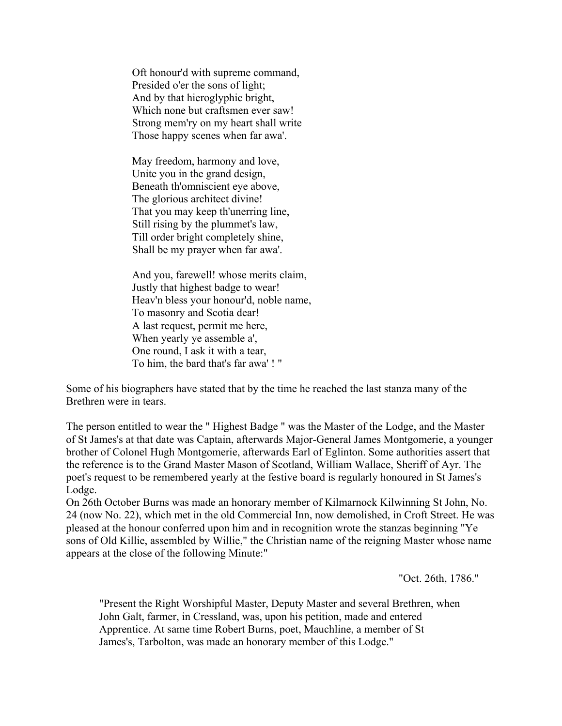Oft honour'd with supreme command, Presided o'er the sons of light; And by that hieroglyphic bright, Which none but craftsmen ever saw! Strong mem'ry on my heart shall write Those happy scenes when far awa'.

May freedom, harmony and love, Unite you in the grand design, Beneath th'omniscient eye above, The glorious architect divine! That you may keep th'unerring line, Still rising by the plummet's law, Till order bright completely shine, Shall be my prayer when far awa'.

And you, farewell! whose merits claim, Justly that highest badge to wear! Heav'n bless your honour'd, noble name, To masonry and Scotia dear! A last request, permit me here, When yearly ye assemble a', One round, I ask it with a tear, To him, the bard that's far awa' ! "

Some of his biographers have stated that by the time he reached the last stanza many of the Brethren were in tears.

The person entitled to wear the " Highest Badge " was the Master of the Lodge, and the Master of St James's at that date was Captain, afterwards Major-General James Montgomerie, a younger brother of Colonel Hugh Montgomerie, afterwards Earl of Eglinton. Some authorities assert that the reference is to the Grand Master Mason of Scotland, William Wallace, Sheriff of Ayr. The poet's request to be remembered yearly at the festive board is regularly honoured in St James's Lodge.

On 26th October Burns was made an honorary member of Kilmarnock Kilwinning St John, No. 24 (now No. 22), which met in the old Commercial Inn, now demolished, in Croft Street. He was pleased at the honour conferred upon him and in recognition wrote the stanzas beginning "Ye sons of Old Killie, assembled by Willie," the Christian name of the reigning Master whose name appears at the close of the following Minute:"

"Oct. 26th, 1786."

"Present the Right Worshipful Master, Deputy Master and several Brethren, when John Galt, farmer, in Cressland, was, upon his petition, made and entered Apprentice. At same time Robert Burns, poet, Mauchline, a member of St James's, Tarbolton, was made an honorary member of this Lodge."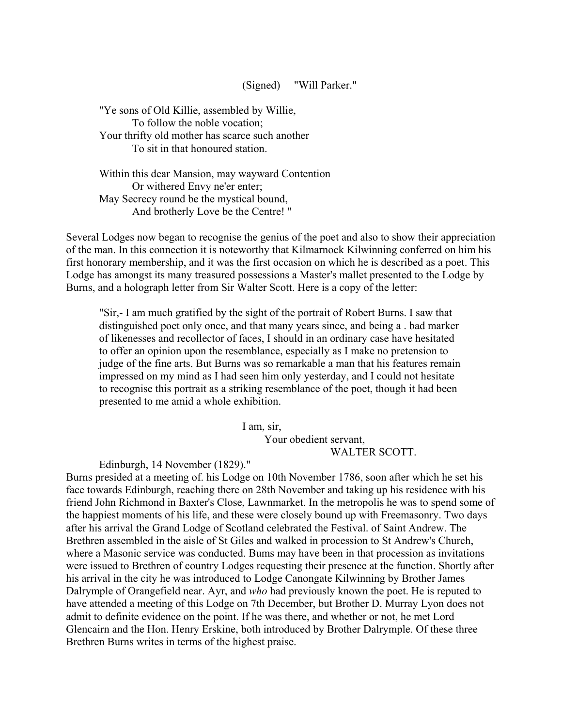## (Signed) "Will Parker."

"Ye sons of Old Killie, assembled by Willie, To follow the noble vocation; Your thrifty old mother has scarce such another To sit in that honoured station.

Within this dear Mansion, may wayward Contention Or withered Envy ne'er enter; May Secrecy round be the mystical bound, And brotherly Love be the Centre! "

Several Lodges now began to recognise the genius of the poet and also to show their appreciation of the man. In this connection it is noteworthy that Kilmarnock Kilwinning conferred on him his first honorary membership, and it was the first occasion on which he is described as a poet. This Lodge has amongst its many treasured possessions a Master's mallet presented to the Lodge by Burns, and a holograph letter from Sir Walter Scott. Here is a copy of the letter:

"Sir,- I am much gratified by the sight of the portrait of Robert Burns. I saw that distinguished poet only once, and that many years since, and being a . bad marker of likenesses and recollector of faces, I should in an ordinary case have hesitated to offer an opinion upon the resemblance, especially as I make no pretension to judge of the fine arts. But Burns was so remarkable a man that his features remain impressed on my mind as I had seen him only yesterday, and I could not hesitate to recognise this portrait as a striking resemblance of the poet, though it had been presented to me amid a whole exhibition.

> I am, sir, Your obedient servant, WALTER SCOTT.

Edinburgh, 14 November (1829)."

Burns presided at a meeting of. his Lodge on 10th November 1786, soon after which he set his face towards Edinburgh, reaching there on 28th November and taking up his residence with his friend John Richmond in Baxter's Close, Lawnmarket. In the metropolis he was to spend some of the happiest moments of his life, and these were closely bound up with Freemasonry. Two days after his arrival the Grand Lodge of Scotland celebrated the Festival. of Saint Andrew. The Brethren assembled in the aisle of St Giles and walked in procession to St Andrew's Church, where a Masonic service was conducted. Bums may have been in that procession as invitations were issued to Brethren of country Lodges requesting their presence at the function. Shortly after his arrival in the city he was introduced to Lodge Canongate Kilwinning by Brother James Dalrymple of Orangefield near. Ayr, and *who* had previously known the poet. He is reputed to have attended a meeting of this Lodge on 7th December, but Brother D. Murray Lyon does not admit to definite evidence on the point. If he was there, and whether or not, he met Lord Glencairn and the Hon. Henry Erskine, both introduced by Brother Dalrymple. Of these three Brethren Burns writes in terms of the highest praise.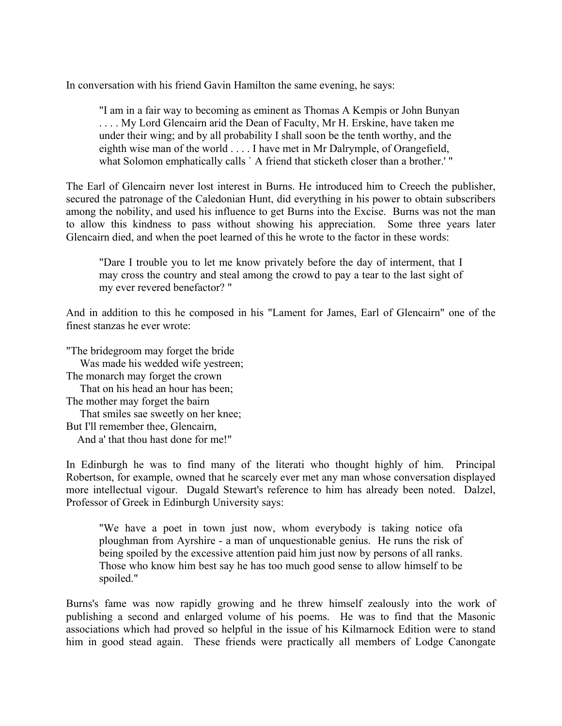In conversation with his friend Gavin Hamilton the same evening, he says:

"I am in a fair way to becoming as eminent as Thomas A Kempis or John Bunyan . . . . My Lord Glencairn arid the Dean of Faculty, Mr H. Erskine, have taken me under their wing; and by all probability I shall soon be the tenth worthy, and the eighth wise man of the world . . . . I have met in Mr Dalrymple, of Orangefield, what Solomon emphatically calls `A friend that sticketh closer than a brother.'"

The Earl of Glencairn never lost interest in Burns. He introduced him to Creech the publisher, secured the patronage of the Caledonian Hunt, did everything in his power to obtain subscribers among the nobility, and used his influence to get Burns into the Excise. Burns was not the man to allow this kindness to pass without showing his appreciation. Some three years later Glencairn died, and when the poet learned of this he wrote to the factor in these words:

"Dare I trouble you to let me know privately before the day of interment, that I may cross the country and steal among the crowd to pay a tear to the last sight of my ever revered benefactor? "

And in addition to this he composed in his "Lament for James, Earl of Glencairn" one of the finest stanzas he ever wrote:

"The bridegroom may forget the bride Was made his wedded wife yestreen; The monarch may forget the crown That on his head an hour has been; The mother may forget the bairn That smiles sae sweetly on her knee; But I'll remember thee, Glencairn, And a' that thou hast done for me!"

In Edinburgh he was to find many of the literati who thought highly of him. Principal Robertson, for example, owned that he scarcely ever met any man whose conversation displayed more intellectual vigour. Dugald Stewart's reference to him has already been noted. Dalzel, Professor of Greek in Edinburgh University says:

"We have a poet in town just now, whom everybody is taking notice ofa ploughman from Ayrshire - a man of unquestionable genius. He runs the risk of being spoiled by the excessive attention paid him just now by persons of all ranks. Those who know him best say he has too much good sense to allow himself to be spoiled."

Burns's fame was now rapidly growing and he threw himself zealously into the work of publishing a second and enlarged volume of his poems. He was to find that the Masonic associations which had proved so helpful in the issue of his Kilmarnock Edition were to stand him in good stead again. These friends were practically all members of Lodge Canongate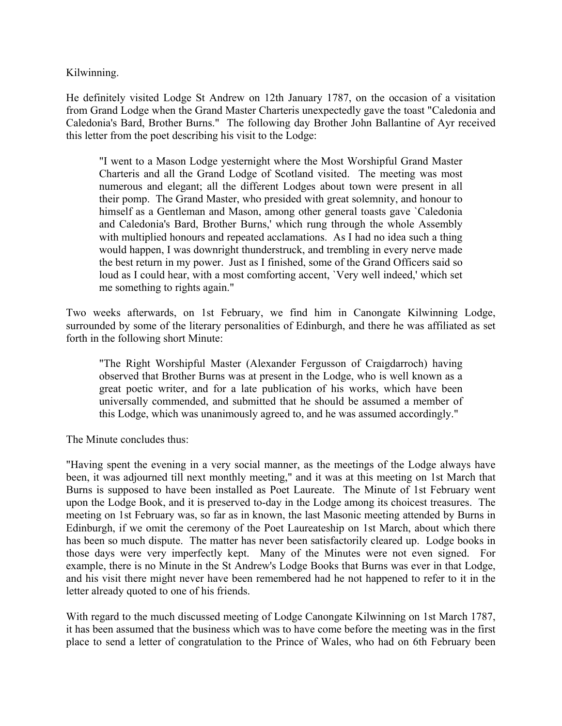Kilwinning.

He definitely visited Lodge St Andrew on 12th January 1787, on the occasion of a visitation from Grand Lodge when the Grand Master Charteris unexpectedly gave the toast "Caledonia and Caledonia's Bard, Brother Burns." The following day Brother John Ballantine of Ayr received this letter from the poet describing his visit to the Lodge:

"I went to a Mason Lodge yesternight where the Most Worshipful Grand Master Charteris and all the Grand Lodge of Scotland visited. The meeting was most numerous and elegant; all the different Lodges about town were present in all their pomp. The Grand Master, who presided with great solemnity, and honour to himself as a Gentleman and Mason, among other general toasts gave `Caledonia and Caledonia's Bard, Brother Burns,' which rung through the whole Assembly with multiplied honours and repeated acclamations. As I had no idea such a thing would happen, I was downright thunderstruck, and trembling in every nerve made the best return in my power. Just as I finished, some of the Grand Officers said so loud as I could hear, with a most comforting accent, `Very well indeed,' which set me something to rights again."

Two weeks afterwards, on 1st February, we find him in Canongate Kilwinning Lodge, surrounded by some of the literary personalities of Edinburgh, and there he was affiliated as set forth in the following short Minute:

"The Right Worshipful Master (Alexander Fergusson of Craigdarroch) having observed that Brother Burns was at present in the Lodge, who is well known as a great poetic writer, and for a late publication of his works, which have been universally commended, and submitted that he should be assumed a member of this Lodge, which was unanimously agreed to, and he was assumed accordingly."

The Minute concludes thus:

"Having spent the evening in a very social manner, as the meetings of the Lodge always have been, it was adjourned till next monthly meeting," and it was at this meeting on 1st March that Burns is supposed to have been installed as Poet Laureate. The Minute of 1st February went upon the Lodge Book, and it is preserved to-day in the Lodge among its choicest treasures. The meeting on 1st February was, so far as in known, the last Masonic meeting attended by Burns in Edinburgh, if we omit the ceremony of the Poet Laureateship on 1st March, about which there has been so much dispute. The matter has never been satisfactorily cleared up. Lodge books in those days were very imperfectly kept. Many of the Minutes were not even signed. For example, there is no Minute in the St Andrew's Lodge Books that Burns was ever in that Lodge, and his visit there might never have been remembered had he not happened to refer to it in the letter already quoted to one of his friends.

With regard to the much discussed meeting of Lodge Canongate Kilwinning on 1st March 1787, it has been assumed that the business which was to have come before the meeting was in the first place to send a letter of congratulation to the Prince of Wales, who had on 6th February been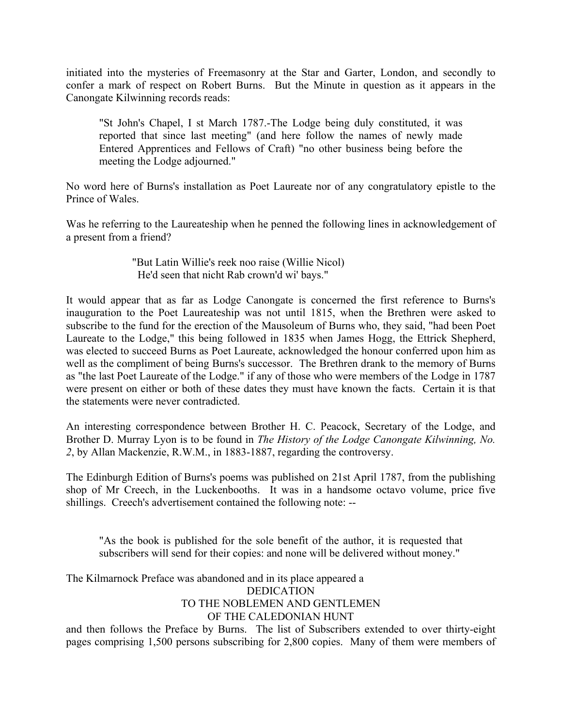initiated into the mysteries of Freemasonry at the Star and Garter, London, and secondly to confer a mark of respect on Robert Burns. But the Minute in question as it appears in the Canongate Kilwinning records reads:

"St John's Chapel, I st March 1787.-The Lodge being duly constituted, it was reported that since last meeting" (and here follow the names of newly made Entered Apprentices and Fellows of Craft) "no other business being before the meeting the Lodge adjourned."

No word here of Burns's installation as Poet Laureate nor of any congratulatory epistle to the Prince of Wales.

Was he referring to the Laureateship when he penned the following lines in acknowledgement of a present from a friend?

> "But Latin Willie's reek noo raise (Willie Nicol) He'd seen that nicht Rab crown'd wi' bays."

It would appear that as far as Lodge Canongate is concerned the first reference to Burns's inauguration to the Poet Laureateship was not until 1815, when the Brethren were asked to subscribe to the fund for the erection of the Mausoleum of Burns who, they said, "had been Poet Laureate to the Lodge," this being followed in 1835 when James Hogg, the Ettrick Shepherd, was elected to succeed Burns as Poet Laureate, acknowledged the honour conferred upon him as well as the compliment of being Burns's successor. The Brethren drank to the memory of Burns as "the last Poet Laureate of the Lodge." if any of those who were members of the Lodge in 1787 were present on either or both of these dates they must have known the facts. Certain it is that the statements were never contradicted.

An interesting correspondence between Brother H. C. Peacock, Secretary of the Lodge, and Brother D. Murray Lyon is to be found in *The History of the Lodge Canongate Kilwinning, No. 2*, by Allan Mackenzie, R.W.M., in 1883-1887, regarding the controversy.

The Edinburgh Edition of Burns's poems was published on 21st April 1787, from the publishing shop of Mr Creech, in the Luckenbooths. It was in a handsome octavo volume, price five shillings. Creech's advertisement contained the following note: --

"As the book is published for the sole benefit of the author, it is requested that subscribers will send for their copies: and none will be delivered without money."

The Kilmarnock Preface was abandoned and in its place appeared a

DEDICATION

TO THE NOBLEMEN AND GENTLEMEN

## OF THE CALEDONIAN HUNT

and then follows the Preface by Burns. The list of Subscribers extended to over thirty-eight pages comprising 1,500 persons subscribing for 2,800 copies. Many of them were members of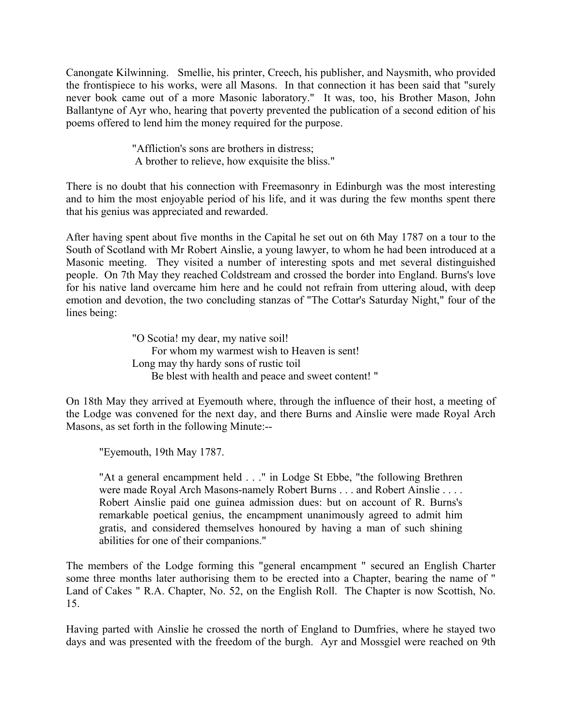Canongate Kilwinning. Smellie, his printer, Creech, his publisher, and Naysmith, who provided the frontispiece to his works, were all Masons. In that connection it has been said that "surely never book came out of a more Masonic laboratory." It was, too, his Brother Mason, John Ballantyne of Ayr who, hearing that poverty prevented the publication of a second edition of his poems offered to lend him the money required for the purpose.

> "Affliction's sons are brothers in distress; A brother to relieve, how exquisite the bliss."

There is no doubt that his connection with Freemasonry in Edinburgh was the most interesting and to him the most enjoyable period of his life, and it was during the few months spent there that his genius was appreciated and rewarded.

After having spent about five months in the Capital he set out on 6th May 1787 on a tour to the South of Scotland with Mr Robert Ainslie, a young lawyer, to whom he had been introduced at a Masonic meeting. They visited a number of interesting spots and met several distinguished people. On 7th May they reached Coldstream and crossed the border into England. Burns's love for his native land overcame him here and he could not refrain from uttering aloud, with deep emotion and devotion, the two concluding stanzas of "The Cottar's Saturday Night," four of the lines being:

> "O Scotia! my dear, my native soil! For whom my warmest wish to Heaven is sent! Long may thy hardy sons of rustic toil Be blest with health and peace and sweet content! "

On 18th May they arrived at Eyemouth where, through the influence of their host, a meeting of the Lodge was convened for the next day, and there Burns and Ainslie were made Royal Arch Masons, as set forth in the following Minute:--

"Eyemouth, 19th May 1787.

"At a general encampment held . . ." in Lodge St Ebbe, "the following Brethren were made Royal Arch Masons-namely Robert Burns . . . and Robert Ainslie . . . . Robert Ainslie paid one guinea admission dues: but on account of R. Burns's remarkable poetical genius, the encampment unanimously agreed to admit him gratis, and considered themselves honoured by having a man of such shining abilities for one of their companions."

The members of the Lodge forming this "general encampment " secured an English Charter some three months later authorising them to be erected into a Chapter, bearing the name of " Land of Cakes " R.A. Chapter, No. 52, on the English Roll. The Chapter is now Scottish, No. 15.

Having parted with Ainslie he crossed the north of England to Dumfries, where he stayed two days and was presented with the freedom of the burgh. Ayr and Mossgiel were reached on 9th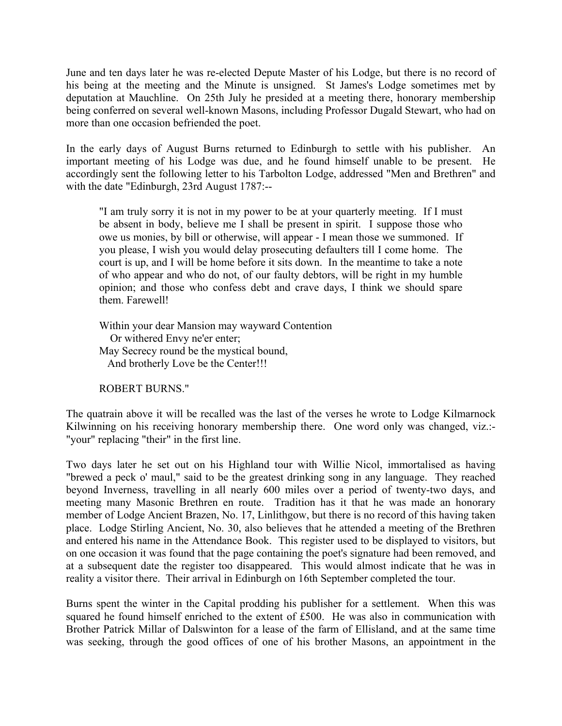June and ten days later he was re-elected Depute Master of his Lodge, but there is no record of his being at the meeting and the Minute is unsigned. St James's Lodge sometimes met by deputation at Mauchline. On 25th July he presided at a meeting there, honorary membership being conferred on several well-known Masons, including Professor Dugald Stewart, who had on more than one occasion befriended the poet.

In the early days of August Burns returned to Edinburgh to settle with his publisher. An important meeting of his Lodge was due, and he found himself unable to be present. He accordingly sent the following letter to his Tarbolton Lodge, addressed "Men and Brethren" and with the date "Edinburgh, 23rd August 1787:--

"I am truly sorry it is not in my power to be at your quarterly meeting. If I must be absent in body, believe me I shall be present in spirit. I suppose those who owe us monies, by bill or otherwise, will appear - I mean those we summoned. If you please, I wish you would delay prosecuting defaulters till I come home. The court is up, and I will be home before it sits down. In the meantime to take a note of who appear and who do not, of our faulty debtors, will be right in my humble opinion; and those who confess debt and crave days, I think we should spare them. Farewell!

Within your dear Mansion may wayward Contention Or withered Envy ne'er enter; May Secrecy round be the mystical bound, And brotherly Love be the Center!!!

ROBERT BURNS."

The quatrain above it will be recalled was the last of the verses he wrote to Lodge Kilmarnock Kilwinning on his receiving honorary membership there. One word only was changed, viz.:-"your" replacing "their" in the first line.

Two days later he set out on his Highland tour with Willie Nicol, immortalised as having "brewed a peck o' maul," said to be the greatest drinking song in any language. They reached beyond Inverness, travelling in all nearly 600 miles over a period of twenty-two days, and meeting many Masonic Brethren en route. Tradition has it that he was made an honorary member of Lodge Ancient Brazen, No. 17, Linlithgow, but there is no record of this having taken place. Lodge Stirling Ancient, No. 30, also believes that he attended a meeting of the Brethren and entered his name in the Attendance Book. This register used to be displayed to visitors, but on one occasion it was found that the page containing the poet's signature had been removed, and at a subsequent date the register too disappeared. This would almost indicate that he was in reality a visitor there. Their arrival in Edinburgh on 16th September completed the tour.

Burns spent the winter in the Capital prodding his publisher for a settlement. When this was squared he found himself enriched to the extent of £500. He was also in communication with Brother Patrick Millar of Dalswinton for a lease of the farm of Ellisland, and at the same time was seeking, through the good offices of one of his brother Masons, an appointment in the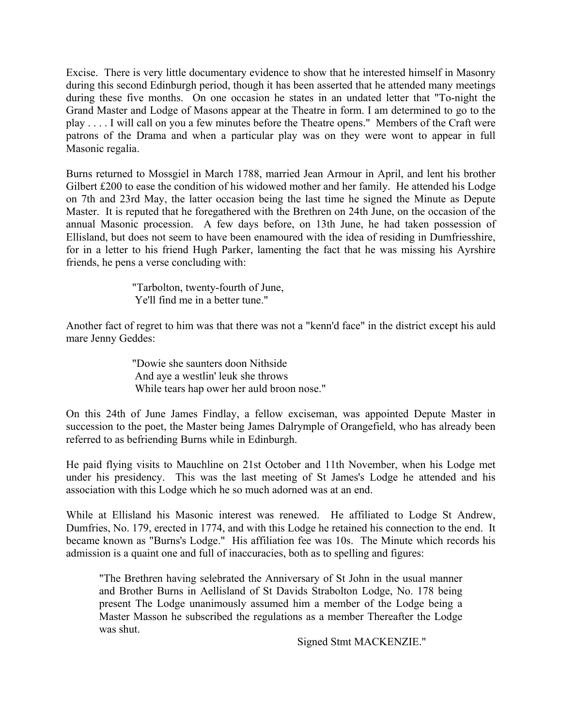Excise. There is very little documentary evidence to show that he interested himself in Masonry during this second Edinburgh period, though it has been asserted that he attended many meetings during these five months. On one occasion he states in an undated letter that "To-night the Grand Master and Lodge of Masons appear at the Theatre in form. I am determined to go to the play . . . . I will call on you a few minutes before the Theatre opens." Members of the Craft were patrons of the Drama and when a particular play was on they were wont to appear in full Masonic regalia.

Burns returned to Mossgiel in March 1788, married Jean Armour in April, and lent his brother Gilbert £200 to ease the condition of his widowed mother and her family. He attended his Lodge on 7th and 23rd May, the latter occasion being the last time he signed the Minute as Depute Master. It is reputed that he foregathered with the Brethren on 24th June, on the occasion of the annual Masonic procession. A few days before, on 13th June, he had taken possession of Ellisland, but does not seem to have been enamoured with the idea of residing in Dumfriesshire, for in a letter to his friend Hugh Parker, lamenting the fact that he was missing his Ayrshire friends, he pens a verse concluding with:

> "Tarbolton, twenty-fourth of June, Ye'll find me in a better tune."

Another fact of regret to him was that there was not a "kenn'd face" in the district except his auld mare Jenny Geddes:

> "Dowie she saunters doon Nithside And aye a westlin' leuk she throws While tears hap ower her auld broon nose."

On this 24th of June James Findlay, a fellow exciseman, was appointed Depute Master in succession to the poet, the Master being James Dalrymple of Orangefield, who has already been referred to as befriending Burns while in Edinburgh.

He paid flying visits to Mauchline on 21st October and 11th November, when his Lodge met under his presidency. This was the last meeting of St James's Lodge he attended and his association with this Lodge which he so much adorned was at an end.

While at Ellisland his Masonic interest was renewed. He affiliated to Lodge St Andrew, Dumfries, No. 179, erected in 1774, and with this Lodge he retained his connection to the end. It became known as "Burns's Lodge." His affiliation fee was 10s. The Minute which records his admission is a quaint one and full of inaccuracies, both as to spelling and figures:

"The Brethren having selebrated the Anniversary of St John in the usual manner and Brother Burns in Aellisland of St Davids Strabolton Lodge, No. 178 being present The Lodge unanimously assumed him a member of the Lodge being a Master Masson he subscribed the regulations as a member Thereafter the Lodge was shut.

Signed Stmt MACKENZIE."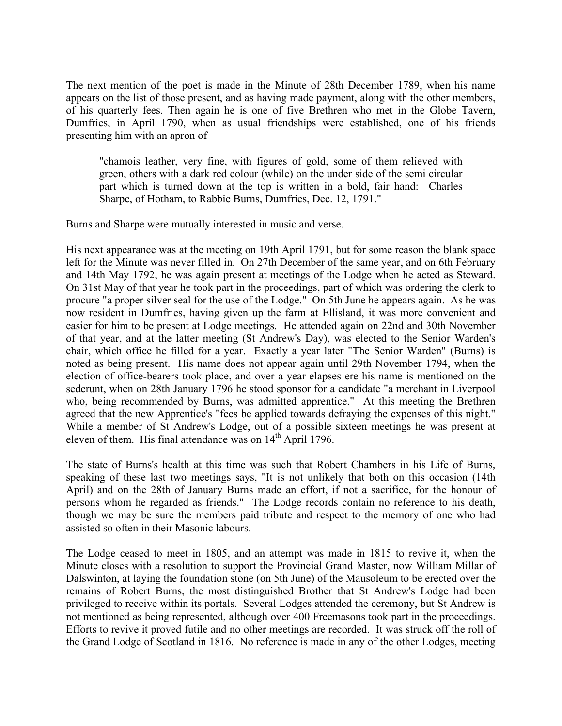The next mention of the poet is made in the Minute of 28th December 1789, when his name appears on the list of those present, and as having made payment, along with the other members, of his quarterly fees. Then again he is one of five Brethren who met in the Globe Tavern, Dumfries, in April 1790, when as usual friendships were established, one of his friends presenting him with an apron of

"chamois leather, very fine, with figures of gold, some of them relieved with green, others with a dark red colour (while) on the under side of the semi circular part which is turned down at the top is written in a bold, fair hand:– Charles Sharpe, of Hotham, to Rabbie Burns, Dumfries, Dec. 12, 1791."

Burns and Sharpe were mutually interested in music and verse.

His next appearance was at the meeting on 19th April 1791, but for some reason the blank space left for the Minute was never filled in. On 27th December of the same year, and on 6th February and 14th May 1792, he was again present at meetings of the Lodge when he acted as Steward. On 31st May of that year he took part in the proceedings, part of which was ordering the clerk to procure "a proper silver seal for the use of the Lodge." On 5th June he appears again. As he was now resident in Dumfries, having given up the farm at Ellisland, it was more convenient and easier for him to be present at Lodge meetings. He attended again on 22nd and 30th November of that year, and at the latter meeting (St Andrew's Day), was elected to the Senior Warden's chair, which office he filled for a year. Exactly a year later "The Senior Warden" (Burns) is noted as being present. His name does not appear again until 29th November 1794, when the election of office-bearers took place, and over a year elapses ere his name is mentioned on the sederunt, when on 28th January 1796 he stood sponsor for a candidate "a merchant in Liverpool who, being recommended by Burns, was admitted apprentice." At this meeting the Brethren agreed that the new Apprentice's "fees be applied towards defraying the expenses of this night." While a member of St Andrew's Lodge, out of a possible sixteen meetings he was present at eleven of them. His final attendance was on  $14<sup>th</sup>$  April 1796.

The state of Burns's health at this time was such that Robert Chambers in his Life of Burns, speaking of these last two meetings says, "It is not unlikely that both on this occasion (14th April) and on the 28th of January Burns made an effort, if not a sacrifice, for the honour of persons whom he regarded as friends." The Lodge records contain no reference to his death, though we may be sure the members paid tribute and respect to the memory of one who had assisted so often in their Masonic labours.

The Lodge ceased to meet in 1805, and an attempt was made in 1815 to revive it, when the Minute closes with a resolution to support the Provincial Grand Master, now William Millar of Dalswinton, at laying the foundation stone (on 5th June) of the Mausoleum to be erected over the remains of Robert Burns, the most distinguished Brother that St Andrew's Lodge had been privileged to receive within its portals. Several Lodges attended the ceremony, but St Andrew is not mentioned as being represented, although over 400 Freemasons took part in the proceedings. Efforts to revive it proved futile and no other meetings are recorded. It was struck off the roll of the Grand Lodge of Scotland in 1816. No reference is made in any of the other Lodges, meeting